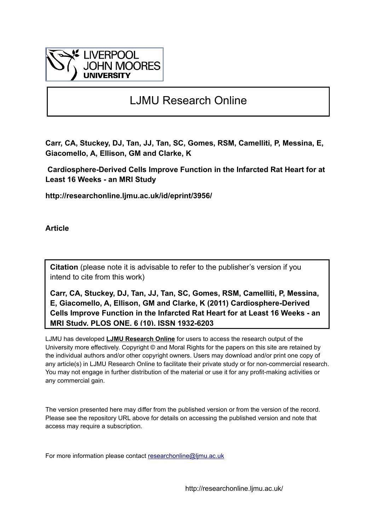

## LJMU Research Online

**Carr, CA, Stuckey, DJ, Tan, JJ, Tan, SC, Gomes, RSM, Camelliti, P, Messina, E, Giacomello, A, Ellison, GM and Clarke, K**

 **Cardiosphere-Derived Cells Improve Function in the Infarcted Rat Heart for at Least 16 Weeks - an MRI Study**

**http://researchonline.ljmu.ac.uk/id/eprint/3956/**

**Article**

**Citation** (please note it is advisable to refer to the publisher's version if you intend to cite from this work)

**Carr, CA, Stuckey, DJ, Tan, JJ, Tan, SC, Gomes, RSM, Camelliti, P, Messina, E, Giacomello, A, Ellison, GM and Clarke, K (2011) Cardiosphere-Derived Cells Improve Function in the Infarcted Rat Heart for at Least 16 Weeks - an MRI Study. PLOS ONE, 6 (10). ISSN 1932-6203** 

LJMU has developed **[LJMU Research Online](http://researchonline.ljmu.ac.uk/)** for users to access the research output of the University more effectively. Copyright © and Moral Rights for the papers on this site are retained by the individual authors and/or other copyright owners. Users may download and/or print one copy of any article(s) in LJMU Research Online to facilitate their private study or for non-commercial research. You may not engage in further distribution of the material or use it for any profit-making activities or any commercial gain.

The version presented here may differ from the published version or from the version of the record. Please see the repository URL above for details on accessing the published version and note that access may require a subscription.

For more information please contact researchonline@limu.ac.uk

http://researchonline.ljmu.ac.uk/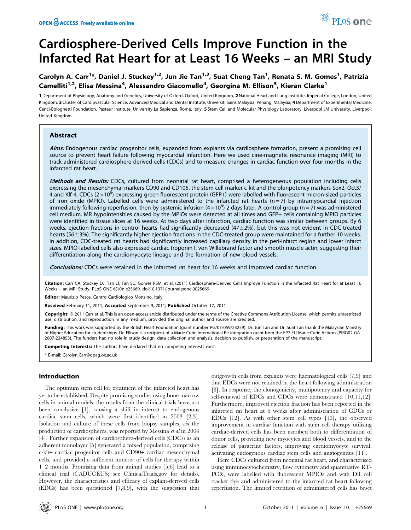# Cardiosphere-Derived Cells Improve Function in the Infarcted Rat Heart for at Least 16 Weeks – an MRI Study

## Carolyn A. Carr<sup>1</sup>\*, Daniel J. Stuckey<sup>1,2</sup>, Jun Jie Tan<sup>1,3</sup>, Suat Cheng Tan<sup>1</sup>, Renata S. M. Gomes<sup>1</sup>, Patrizia Camelliti<sup>1,2</sup>, Elisa Messina<sup>4</sup>, Alessandro Giacomello<sup>4</sup>, Georgina M. Ellison<sup>5</sup>, Kieran Clarke<sup>1</sup>

1 Department of Physiology, Anatomy and Genetics, University of Oxford, Oxford, United Kingdom, 2National Heart and Lung Institute, Imperial College, London, United Kingdom, 3 Cluster of Cardiovascular Science, Advanced Medical and Dental Institute, Universiti Sains Malaysia, Penang, Malaysia, 4 Department of Experimental Medicine, Cenci-Bolognetti Foundation, Pasteur Institute, University La Sapienza, Rome, Italy, 5 Stem Cell and Molecular Physiology Laboratory, Liverpool JM University, Liverpool, United Kingdom

## Abstract

Aims: Endogenous cardiac progenitor cells, expanded from explants via cardiosphere formation, present a promising cell source to prevent heart failure following myocardial infarction. Here we used cine-magnetic resonance imaging (MRI) to track administered cardiosphere-derived cells (CDCs) and to measure changes in cardiac function over four months in the infarcted rat heart.

Methods and Results: CDCs, cultured from neonatal rat heart, comprised a heterogeneous population including cells expressing the mesenchymal markers CD90 and CD105, the stem cell marker c-kit and the pluripotency markers Sox2, Oct3/ 4 and Klf-4. CDCs (2 $\times$ 10<sup>6</sup>) expressing green fluorescent protein (GFP+) were labelled with fluorescent micron-sized particles of iron oxide (MPIO). Labelled cells were administered to the infarcted rat hearts  $(n=7)$  by intramyocardial injection immediately following reperfusion, then by systemic infusion (4×10<sup>6</sup>) 2 days later. A control group (n = 7) was administered cell medium. MR hypointensities caused by the MPIOs were detected at all times and GFP+ cells containing MPIO particles were identified in tissue slices at 16 weeks. At two days after infarction, cardiac function was similar between groups. By 6 weeks, ejection fractions in control hearts had significantly decreased  $(47 $\pm$ 2%), but this was not evident in CDC-treated$ hearts (56 $\pm$ 3%). The significantly higher ejection fractions in the CDC-treated group were maintained for a further 10 weeks. In addition, CDC-treated rat hearts had significantly increased capillary density in the peri-infarct region and lower infarct sizes. MPIO-labelled cells also expressed cardiac troponin I, von Willebrand factor and smooth muscle actin, suggesting their differentiation along the cardiomyocyte lineage and the formation of new blood vessels.

Conclusions: CDCs were retained in the infarcted rat heart for 16 weeks and improved cardiac function.

Citation: Carr CA, Stuckey DJ, Tan JJ, Tan SC, Gomes RSM, et al. (2011) Cardiosphere-Derived Cells Improve Function in the Infarcted Rat Heart for at Least 16 Weeks – an MRI Study. PLoS ONE 6(10): e25669. doi:10.1371/journal.pone.0025669

Editor: Maurizio Pesce, Centro Cardiologico Monzino, Italy

Received February 11, 2011; Accepted September 9, 2011; Published October 17, 2011

Copyright: © 2011 Carr et al. This is an open-access article distributed under the terms of the Creative Commons Attribution License, which permits unrestricted use, distribution, and reproduction in any medium, provided the original author and source are credited.

Funding: This work was supported by the British Heart Foundation (grant number PG/07/059/23259). Dr. Jun Tan and Dr. Suat Tan thank the Malaysian Ministry of Higher Education for studentships. Dr. Ellison is a recipient of a Marie Curie International Re-integration grant from the FP7 EU Marie Curie Actions (PIRG02-GA-2007-224853). The funders had no role in study design, data collection and analysis, decision to publish, or preparation of the manuscript.

Competing Interests: The authors have declared that no competing interests exist.

\* E-mail: Carolyn.Carr@dpag.ox.ac.uk

## Introduction

The optimum stem cell for treatment of the infarcted heart has yet to be established. Despite promising studies using bone marrow cells in animal models, the results from the clinical trials have not been conclusive [1], causing a shift in interest to endogenous cardiac stem cells, which were first identified in 2003 [2,3]. Isolation and culture of these cells from biopsy samples, via the production of cardiospheres, was reported by Messina et al in 2004 [4]. Further expansion of cardiosphere-derived cells (CDCs) as an adherent monolayer [5] generated a mixed population, comprising c-kit+ cardiac progenitor cells and CD90+ cardiac mesenchymal cells, and provided a sufficient number of cells for therapy within 1–2 months. Promising data from animal studies [5,6] lead to a clinical trial (CADUCEUS; see ClinicalTrials.gov for details). However, the characteristics and efficacy of explant-derived cells (EDCs) has been questioned [7,8,9], with the suggestion that outgrowth cells from explants were haematological cells [7,9] and that EDCs were not retained in the heart following administration [8]. In response, the clonogenicity, multipotency and capacity for self-renewal of EDCs and CDCs were demonstrated [10,11,12]. Furthermore, improved ejection fraction has been reported in the infarcted rat heart at 6 weeks after administration of CDCs or EDCs [12]. As with other stem cell types [13], the observed improvement in cardiac function with stem cell therapy utilising cardiac-derived cells has been ascribed both to differentiation of donor cells, providing new myocytes and blood vessels, and to the release of paracrine factors, improving cardiomyocyte survival, activating endogenous cardiac stem cells and angiogenesis [11].

Here CDCs cultured from neonatal rat heart, and characterised using immunocytochemistry, flow cytometry and quantitative RT-PCR, were labelled with fluorescent MPIOs and with DiI cell tracker dye and administered to the infarcted rat heart following reperfusion. The limited retention of administered cells has beset

PLoS one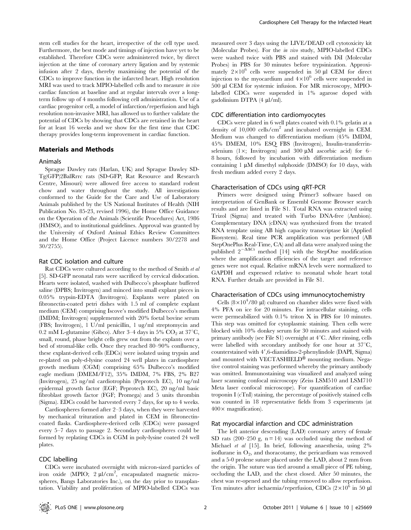stem cell studies for the heart, irrespective of the cell type used. Furthermore, the best mode and timings of injection have yet to be established. Therefore CDCs were administered twice, by direct injection at the time of coronary artery ligation and by systemic infusion after 2 days, thereby maximising the potential of the CDCs to improve function in the infarcted heart. High resolution MRI was used to track MPIO-labelled cells and to measure in vivo cardiac function at baseline and at regular intervals over a longterm follow up of 4 months following cell administration. Use of a cardiac progenitor cell, a model of infarction/reperfusion and high resolution non-invasive MRI, has allowed us to further validate the potential of CDCs by showing that CDCs are retained in the heart for at least 16 weeks and we show for the first time that CDC therapy provides long-term improvement in cardiac function.

## Materials and Methods

## Animals

Sprague Dawley rats (Harlan, UK) and Sprague Dawley SD-Tg(GFP)2BalRrrc rats (SD-GFP; Rat Resource and Research Centre, Missouri) were allowed free access to standard rodent chow and water throughout the study. All investigations conformed to the Guide for the Care and Use of Laboratory Animals published by the US National Institutes of Health (NIH Publication No. 85-23, revised 1996), the Home Office Guidance on the Operation of the Animals (Scientific Procedures) Act, 1986 (HMSO), and to institutional guidelines. Approval was granted by the University of Oxford Animal Ethics Review Committees and the Home Office (Project Licence numbers 30/2278 and 30/2755).

#### Rat CDC isolation and culture

Rat CDCs were cultured according to the method of Smith et al [5]. SD-GFP neonatal rats were sacrificed by cervical dislocation. Hearts were isolated, washed with Dulbecco's phosphate buffered saline (DPBS; Invitrogen) and minced into small explant pieces in 0.05% trypsin-EDTA (Invitrogen). Explants were plated on fibronectin-coated petri dishes with 1.5 ml of complete explant medium (CEM) comprising Iscove's modified Dulbecco's medium (IMDM; Invitrogen) supplemented with 20% foetal bovine serum (FBS; Invitrogen), 1 U/ml penicillin, 1 ug/ml streptomycin and 0.2 mM L-glutamine (Gibco). After 3-4 days in 5%  $CO_2$  at 37°C, small, round, phase bright cells grew out from the explants over a bed of stromal-like cells. Once they reached 80–90% confluency, these explant-derived cells (EDCs) were isolated using trypsin and re-plated on poly-d-lysine coated 24 well plates in cardiosphere growth medium (CGM) comprising 65% Dulbecco's modified eagle medium (DMEM/F12), 35% IMDM, 7% FBS, 2% B27 (Invitrogen), 25 ng/ml cardiotrophin (Peprotech EC), 10 ng/ml epidermal growth factor (EGF; Peprotech EC), 20 ng/ml basic fibroblast growth factor (FGF; Promega) and 5 units thrombin (Sigma). EDCs could be harvested every 7 days, for up to 4 weeks.

Cardiospheres formed after 2–3 days, when they were harvested by mechanical trituration and plated in CEM in fibronectincoated flasks. Cardiosphere-derived cells (CDCs) were passaged every 5–7 days to passage 2. Secondary cardiospheres could be formed by replating CDCs in CGM in poly-lysine coated 24 well plates.

## CDC labelling

CDCs were incubated overnight with micron-sized particles of iron oxide (MPIO; 2 µl/cm<sup>2</sup>, encapsulated magnetic microspheres, Bangs Laboratories Inc.), on the day prior to transplantation. Viability and proliferation of MPIO-labelled CDCs was

measured over 3 days using the LIVE/DEAD cell cytotoxicity kit (Molecular Probes). For the in vivo study, MPIO-labelled CDCs were washed twice with PBS and stained with DiI (Molecular Probes) in PBS for 30 minutes before trypsinization. Approximately  $2\times10^6$  cells were suspended in 50 µl CEM for direct injection to the myocardium and  $4\times10^6$  cells were suspended in 500 ml CEM for systemic infusion. For MR microscopy, MPIOlabelled CDCs were suspended in 1% agarose doped with gadolinium DTPA (4 µl/ml).

## CDC differentiation into cardiomyocytes

CDCs were plated in 6 well plates coated with 0.1% gelatin at a density of  $10,000$  cells/cm<sup>2</sup> and incubated overnight in CEM. Medium was changed to differentiation medium (45% IMDM, 45% DMEM, 10% ESQ FBS (Invitrogen), Insulin-transferrinselenium (1 $\times$ ; Invitrogen) and 300  $\mu$ M ascorbic acid) for 6– 8 hours, followed by incubation with differentiation medium containing  $1 \mu M$  dimethyl sulphoxide (DMSO) for 10 days, with fresh medium added every 2 days.

#### Characterisation of CDCs using qRT-PCR

Primers were designed using Primer3 software based on interpretation of GenBank or Ensembl Genome Browser search results and are listed in File S1. Total RNA was extracted using Trizol (Sigma) and treated with Turbo DNA-free (Ambion). Complementary DNA (cDNA) was synthesized from the treated RNA template using AB high capacity transcriptase kit (Applied Biosystem). Real time PCR amplification was performed (AB StepOnePlus Real-Time, CA) and all data were analyzed using the published  $2^{-\Delta\Delta Ct}$  method [14] with the StepOne modification where the amplification efficiencies of the target and reference genes were not equal. Relative mRNA levels were normalized to GAPDH and expressed relative to neonatal whole heart total RNA. Further details are provided in File S1.

#### Characterisation of CDCs using immunocytochemistry

Cells  $(8 \times 10^4/80 \text{ }\mu\text{)}$  cultured on chamber slides were fixed with 4% PFA on ice for 20 minutes. For intracellular staining, cells were permeabilized with 0.1% triton X in PBS for 10 minutes. This step was omitted for cytoplasmic staining. Then cells were blocked with 10% donkey serum for 30 minutes and stained with primary antibody (see File S1) overnight at  $4^{\circ}$ C. After rinsing, cells were labelled with secondary antibody for one hour at  $37^{\circ}$ C, counterstained with 4',6-diamidino-2-phenylindole (DAPI, Sigma) and mounted with VECTASHIELD® mounting medium. Negative control staining was performed whereby the primary antibody was omitted. Immunostaining was visualized and analyzed using laser scanning confocal microscopy (Zeiss LSM510 and LSM710 Meta laser confocal microscope). For quantification of cardiac troponin I (cTnI) staining, the percentage of positively stained cells was counted in 18 representative fields from 3 experiments (at  $400 \times$  magnification).

## Rat myocardial infarction and CDC administration

The left anterior descending (LAD) coronary artery of female SD rats (200–250 g,  $n = 14$ ) was occluded using the method of Michael et al [15]. In brief, following anaesthesia, using 2% isoflurane in  $O_2$ , and thoracotamy, the pericardium was removed and a 5-0 prolene suture placed under the LAD, about 2 mm from the origin. The suture was tied around a small piece of PE tubing, occluding the LAD, and the chest closed. After 50 minutes, the chest was re-opened and the tubing removed to allow reperfusion. Ten minutes after ischaemia/reperfusion, CDCs  $(2 \times 10^6$  in 50 µl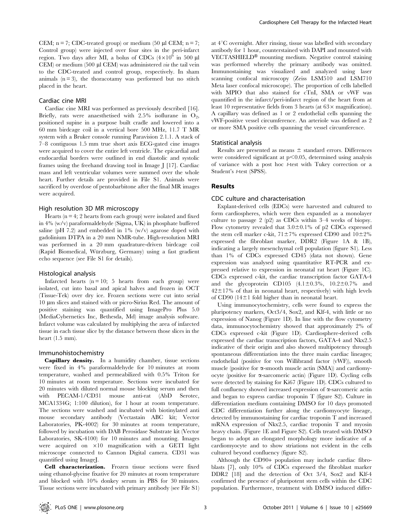CEM;  $n = 7$ ; CDC-treated group) or medium (50 µl CEM;  $n = 7$ ; Control group) were injected over four sites in the peri-infarct region. Two days after MI, a bolus of CDCs  $(4\times10^6$  in 500 µl CEM) or medium (500 µl CEM) was administered via the tail vein to the CDC-treated and control group, respectively. In sham animals  $(n = 3)$ , the thoracotamy was performed but no stitch placed in the heart.

#### Cardiac cine MRI

Cardiac cine MRI was performed as previously described [16]. Briefly, rats were anaesthetised with  $2.5\%$  isoflurane in  $O_2$ , positioned supine in a purpose built cradle and lowered into a 60 mm birdcage coil in a vertical bore 500 MHz, 11.7 T MR system with a Bruker console running Paravision 2.1.1. A stack of 7–8 contiguous 1.5 mm true short axis ECG-gated cine images were acquired to cover the entire left ventricle. The epicardial and endocardial borders were outlined in end diastolic and systolic frames using the freehand drawing tool in Image J [17]. Cardiac mass and left ventricular volumes were summed over the whole heart. Further details are provided in File S1. Animals were sacrificed by overdose of pentobarbitone after the final MR images were acquired.

## High resolution 3D MR microscopy

Hearts ( $n = 4$ ; 2 hearts from each group) were isolated and fixed in 4% (w/v) paraformaldehyde (Sigma, UK) in phosphate buffered saline (pH 7.2) and embedded in  $1\%$  (w/v) agarose doped with gadolinium DTPA in a 20 mm NMR-tube. High-resolution MRI was performed in a 20 mm quadrature-driven birdcage coil (Rapid Biomedical, Würzburg, Germany) using a fast gradient echo sequence (see File S1 for details).

#### Histological analysis

Infarcted hearts  $(n = 10; 5$  hearts from each group) were isolated, cut into basal and apical halves and frozen in OCT (Tissue-Tek) over dry ice. Frozen sections were cut into serial 10 mm slices and stained with or picro-Sirius Red. The amount of positive staining was quantified using ImagePro Plus 5.0 (MediaCybernetics Inc, Bethesda, Md) image analysis software. Infarct volume was calculated by multiplying the area of infarcted tissue in each tissue slice by the distance between those slices in the heart (1.5 mm).

#### Immunohistochemistry

Capillary density. In a humidity chamber, tissue sections were fixed in 4% paraformaldehyde for 10 minutes at room temperature, washed and permeabilized with 0.5% Triton for 10 minutes at room temperature. Sections were incubated for 20 minutes with diluted normal mouse blocking serum and then with PECAM-1/CD31 mouse anti-rat (AbD Serotec, MCA1334G; 1:100 dilution), for 1 hour at room temperature. The sections were washed and incubated with biotinylated anti mouse secondary antibody (Vectastain ABC kit; Vector Laboratories, PK-4002) for 30 minutes at room temperature, followed by incubation with DAB Perosidase Substrate kit (Vector Laboratories, SK-4100) for 10 minutes and mounting. Images were acquired on  $\times10$  magnification with a GETI light microscope connected to Cannon Digital camera. CD31 was quantified using ImageJ.

Cell characterization. Frozen tissue sections were fixed using ethanol-glycine fixative for 20 minutes at room temperature and blocked with 10% donkey serum in PBS for 30 minutes. Tissue sections were incubated with primary antibody (see File S1) at  $4^{\circ}$ C overnight. After rinsing, tissue was labelled with secondary antibody for 1 hour, counterstained with DAPI and mounted with VECTASHIELD<sup>®</sup> mounting medium. Negative control staining was performed whereby the primary antibody was omitted. Immunostaining was visualized and analyzed using laser scanning confocal microscopy (Zeiss LSM510 and LSM710 Meta laser confocal microscope). The proportion of cells labelled with MPIO that also stained for cTnI, SMA or vWF was quantified in the infarct/peri-infarct region of the heart from at least 10 representative fields from 3 hearts (at  $63 \times$  magnification). A capillary was defined as 1 or 2 endothelial cells spanning the vWF-positive vessel circumference. An arteriole was defined as 2 or more SMA positive cells spanning the vessel circumference.

#### Statistical analysis

Results are presented as means  $\pm$  standard errors. Differences were considered significant at  $p<0.05$ , determined using analysis of variance with a post hoc t-test with Tukey correction or a Student's t-test (SPSS).

## Results

#### CDC culture and characterisation

Explant-derived cells (EDCs) were harvested and cultured to form cardiospheres, which were then expanded as a monolayer culture to passage 2 (p2) as CDCs within 3–4 weeks of biopsy. Flow cytometry revealed that  $3.0\pm0.1\%$  of p2 CDCs expressed the stem cell marker c-kit,  $71\pm7\%$  expressed CD90 and  $10\pm2\%$ expressed the fibroblast marker, DDR2 (Figure 1A & 1B), indicating a largely mesenchymal cell population (figure S1). Less than 1% of CDCs expressed CD45 (data not shown). Gene expression was analysed using quantitative RT-PCR and expressed relative to expression in neonatal rat heart (Figure 1C). CDCs expressed c-kit, the cardiac transcription factor GATA-4 and the glycoprotein CD105  $(4.1 \pm 0.3\% , 10.2 \pm 0.7\% )$  and  $42\pm17$ % of that in neonatal heart, respectively) with high levels of CD90 (14 $\pm$ 1 fold higher than in neonatal heart.

Using immunocytochemistry, cells were found to express the pluripotency markers, Oct3/4, Sox2, and Klf-4, with little or no expression of Nanog (Figure 1D). In line with the flow cytometry data, immunocytochemistry showed that approximately 2% of CDCs expressed c-kit (Figure 1D). Cardiosphere-derived cells expressed the cardiac transcription factors, GATA-4 and Nkx2.5 indicative of their origin and also showed multipotency through spontaneous differentiation into the three main cardiac lineages; endothelial (positive for von Willibrand factor (vWF)), smooth muscle (positive for  $\alpha$ -smooth muscle actin (SMA)) and cardiomyocyte (positive for  $\alpha$ -sarcomeric actin) (Figure 1D). Cycling cells were detected by staining for Ki67 (Figure 1D). CDCs cultured to full confluency showed increased expression of  $\alpha$ -sarcomeric actin and began to express cardiac troponin T (figure S2). Culture in differentiation medium containing DMSO for 10 days promoted CDC differentiation further along the cardiomyocyte lineage, detected by immunostaining for cardiac troponin T and increased mRNA expression of Nkx2.5, cardiac troponin T and myosin heavy chain. (Figure 1E and Figure S2). Cells treated with DMSO began to adopt an elongated morphology more indicative of a cardiomyocyte and to show striations not evident in the cells cultured beyond confluency (figure S2).

Although the CD90+ population may include cardiac fibroblasts [7], only 10% of CDCs expressed the fibroblast marker DDR2 [18] and the detection of Oct 3/4, Sox2 and Klf-4 confirmed the presence of pluripotent stem cells within the CDC population. Furthermore, treatment with DMSO induced differ-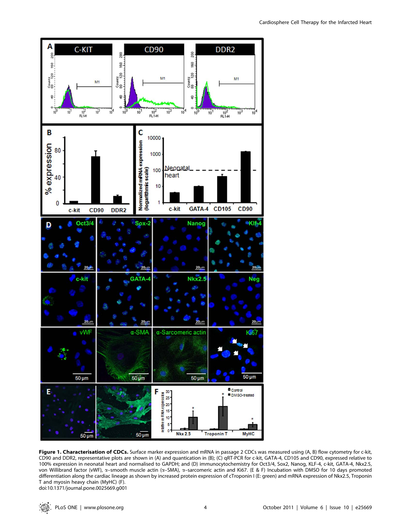

Figure 1. Characterisation of CDCs. Surface marker expression and mRNA in passage 2 CDCs was measured using (A, B) flow cytometry for c-kit, CD90 and DDR2, representative plots are shown in (A) and quantication in (B); (C) qRT-PCR for c-kit, GATA-4, CD105 and CD90, expressed relative to 100% expression in neonatal heart and normalised to GAPDH; and (D) immunocytochemistry for Oct3/4, Sox2, Nanog, KLF-4, c-kit, GATA-4, Nkx2.5, von Willibrand factor (vWF),  $\alpha$ –smooth muscle actin ( $\alpha$ –SMA),  $\alpha$ –sarcomeric actin and Ki67. (E & F) Incubation with DMSO for 10 days promoted differentiation along the cardiac lineage as shown by increased protein expression of cTroponin I (E: green) and mRNA expression of Nkx2.5, Troponin T and myosin heavy chain (MyHC) (F). doi:10.1371/journal.pone.0025669.g001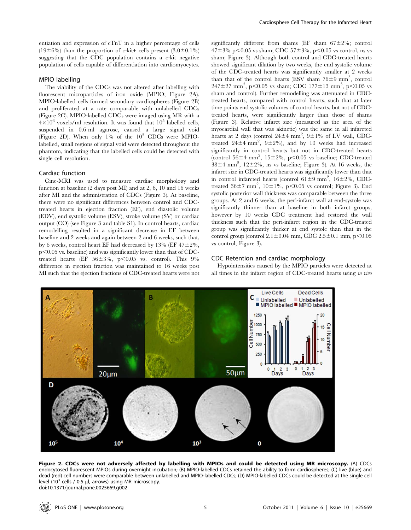entiation and expression of cTnT in a higher percentage of cells  $(19\pm6\%)$  than the proportion of c-kit+ cells present  $(3.0\pm0.1\%)$ suggesting that the CDC population contains a c-kit negative population of cells capable of differentiation into cardiomyocytes.

## MPIO labelling

The viability of the CDCs was not altered after labelling with fluorescent microparticles of iron oxide (MPIO; Figure 2A). MPIO-labelled cells formed secondary cardiospheres (Figure 2B) and proliferated at a rate comparable with unlabelled CDCs (Figure 2C). MPIO-labelled CDCs were imaged using MR with a  $4\times10^6$  voxels/ml resolution. It was found that  $10^5$  labelled cells, suspended in 0.6 ml agarose, caused a large signal void (Figure 2D). When only  $1\%$  of the  $10^5$  CDCs were MPIOlabelled, small regions of signal void were detected throughout the phantom, indicating that the labelled cells could be detected with single cell resolution.

## Cardiac function

Cine-MRI was used to measure cardiac morphology and function at baseline (2 days post MI) and at 2, 6, 10 and 16 weeks after MI and the administration of CDCs (Figure 3). At baseline, there were no significant differences between control and CDCtreated hearts in ejection fraction (EF), end diastolic volume (EDV), end systolic volume (ESV), stroke volume (SV) or cardiac output (CO) (see Figure 3 and table S1). In control hearts, cardiac remodelling resulted in a significant decrease in EF between baseline and 2 weeks and again between 2 and 6 weeks, such that, by 6 weeks, control heart EF had decreased by 13% (EF  $47\pm2\%$ ,  $p<0.05$  vs. baseline) and was significantly lower than that of CDCtreated hearts (EF  $56\pm3\%$ , p $<0.05$  vs. control). This 9% difference in ejection fraction was maintained to 16 weeks post MI such that the ejection fractions of CDC-treated hearts were not

significantly different from shams (EF sham  $67\pm2\%$ ; control 47±3% p<0.05 vs sham; CDC 57±3%, p<0.05 vs control, ns vs sham; Figure 3). Although both control and CDC-treated hearts showed significant dilation by two weeks, the end systolic volume of the CDC-treated hearts was significantly smaller at 2 weeks than that of the control hearts (ESV sham  $76\pm9$  mm<sup>3</sup>, control  $247 \pm 27$  mm<sup>3</sup>, p $< 0.05$  vs sham; CDC 177 $\pm$ 13 mm<sup>3</sup>, p $< 0.05$  vs sham and control). Further remodelling was attenuated in CDCtreated hearts, compared with control hearts, such that at later time points end systolic volumes of control hearts, but not of CDCtreated hearts, were significantly larger than those of shams (Figure 3). Relative infarct size (measured as the area of the myocardial wall that was akinetic) was the same in all infarcted hearts at 2 days (control  $24 \pm 4$  mm<sup>2</sup>,  $9 \pm 1$ % of LV wall, CDCtreated  $24\pm4$  mm<sup>2</sup>,  $9\pm2\%$ ), and by 10 weeks had increased significantly in control hearts but not in CDC-treated hearts (control  $56\pm4$  mm<sup>2</sup>,  $15\pm2\%$ , p<0.05 vs baseline; CDC-treated  $38\pm4$  mm<sup>2</sup>,  $12\pm2\%$ , ns vs baseline; Figure 3). At 16 weeks, the infarct size in CDC-treated hearts was significantly lower than that in control infarcted hearts (control  $61\pm9$  mm<sup>2</sup>,  $16\pm2\%$ , CDCtreated  $36\pm7$  mm<sup>2</sup>,  $10\pm1\%$ ,  $p<0.05$  vs control; Figure 3). End systolic posterior wall thickness was comparable between the three groups. At 2 and 6 weeks, the peri-infarct wall at end-systole was significantly thinner than at baseline in both infarct groups, however by 10 weeks CDC treatment had restored the wall thickness such that the peri-infarct region in the CDC-treated group was significantly thicker at end systole than that in the control group (control  $2.1\pm0.04$  mm, CDC  $2.5\pm0.1$  mm, p $<0.05$ vs control; Figure 3).

## CDC Retention and cardiac morphology

Hypointensities caused by the MPIO particles were detected at all times in the infarct region of CDC-treated hearts using in vivo



Figure 2. CDCs were not adversely affected by labelling with MPIOs and could be detected using MR microscopy. (A) CDCs endocytosed fluorescent MPIOs during overnight incubation; (B) MPIO-labelled CDCs retained the ability to form cardiospheres; (C) live (blue) and dead (red) cell numbers were comparable between unlabelled and MPIO-labelled CDCs; (D) MPIO-labelled CDCs could be detected at the single cell level (10<sup>3</sup> cells / 0.5 µl, arrows) using MR microscopy. doi:10.1371/journal.pone.0025669.g002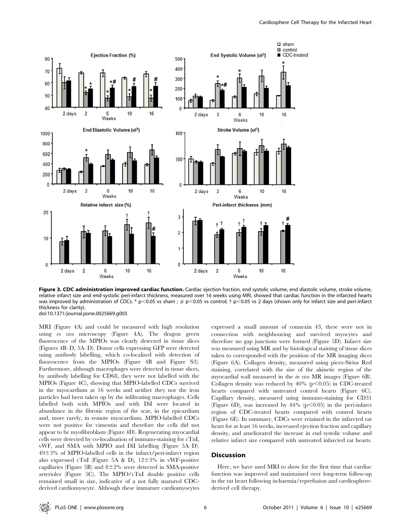

Figure 3. CDC administration improved cardiac function. Cardiac ejection fraction, end systolic volume, end diastolic volume, stroke volume, relative infarct size and end-systolic peri-infarct thickness, measured over 16 weeks using MRI, showed that cardiac function in the infarcted hearts was improved by administration of CDCs. \* p<0.05 vs sham ; # p<0.05 vs control;  $\dagger$  p<0.05 vs 2 days (shown only for infarct size and peri-infarct thickness for clarity). doi:10.1371/journal.pone.0025669.g003

MRI (Figure 4A) and could be measured with high resolution using ex vivo microscopy (Figure 4A). The dragon green fluorescence of the MPIOs was clearly detected in tissue slices (Figures 4B–D, 5A–D). Donor cells expressing GFP were detected using antibody labelling, which co-localised with detection of fluorescence from the MPIOs (Figure 4B and Figure S3). Furthermore, although macrophages were detected in tissue slices, by antibody labelling for CD68, they were not labelled with the MPIOs (Figure 4C), showing that MPIO-labelled CDCs survived in the myocardium at 16 weeks and neither they nor the iron particles had been taken up by the infiltrating macrophages. Cells labelled both with MPIOs and with DiI were located in abundance in the fibrotic region of the scar, in the epicardium and, more rarely, in remote myocardium. MPIO-labelled CDCs were not positive for vimentin and therefore the cells did not appear to be myofibroblasts (Figure 4D). Regenerating myocardial cells were detected by co-localisation of immuno-staining for cTnI, vWF, and SMA with MPIO and DiI labelling (Figure 5A–D).  $49\pm3\%$  of MPIO-labelled cells in the infarct/peri-infarct region also expressed cTnI (Figure 5A & D),  $12\pm3\%$  in vWF-positive capillaries (Figure 5B) and  $8\pm2\%$  were detected in SMA-positive arterioles (Figure 5C). The MPIO/cTnI double positive cells remained small in size, indicative of a not fully matured CDCderived cardiomyocyte. Although these immature cardiomyocytes expressed a small amount of connexin 43, these were not in connection with neighbouring and survived myocytes and therefore no gap junctions were formed (Figure 5D). Infarct size was measured using MR and by histological staining of tissue slices taken to corresponded with the position of the MR imaging slices (Figure 6A). Collagen density, measured using picro-Sirius Red staining, correlated with the size of the akinetic region of the myocardial wall measured in the in vivo MR images (Figure 6B). Collagen density was reduced by  $40\%$  (p $< 0.05$ ) in CDC-treated hearts compared with untreated control hearts (Figure 6C). Capillary density, measured using immuno-staining for CD31 (Figure 6D), was increased by  $44\%$  (p $\leq$ 0.05) in the peri-infarct region of CDC-treated hearts compared with control hearts (Figure 6E). In summary, CDCs were retained in the infarcted rat heart for at least 16 weeks, increased ejection fraction and capillary density, and ameliorated the increase in end systolic volume and relative infarct size compared with untreated infarcted rat hearts.

#### **Discussion**

Here, we have used MRI to show for the first time that cardiac function was improved and maintained over long-term follow-up in the rat heart following ischaemia/reperfusion and cardiospherederived cell therapy.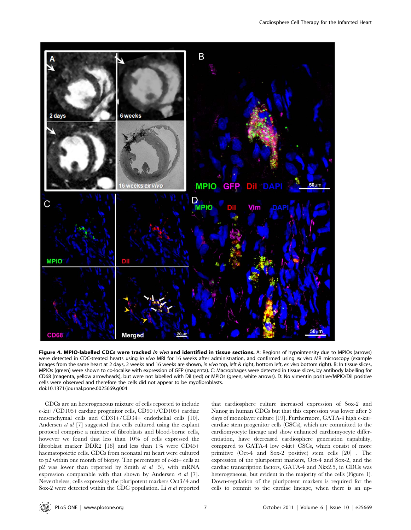

Figure 4. MPIO-labelled CDCs were tracked in vivo and identified in tissue sections. A: Regions of hypointensity due to MPIOs (arrows) were detected in CDC-treated hearts using in vivo MRI for 16 weeks after administration, and confirmed using ex vivo MR microscopy (example images from the same heart at 2 days, 2 weeks and 16 weeks are shown, in vivo top, left & right, bottom left, ex vivo bottom right). B: In tissue slices, MPIOs (green) were shown to co-localise with expression of GFP (magenta). C: Macrophages were detected in tissue slices, by antibody labelling for CD68 (magenta, yellow arrowheads), but were not labelled with DiI (red) or MPIOs (green, white arrows). D: No vimentin positive/MPIO/DiI positive cells were observed and therefore the cells did not appear to be myofibroblasts. doi:10.1371/journal.pone.0025669.g004

CDCs are an heterogeneous mixture of cells reported to include c-kit+/CD105+ cardiac progenitor cells, CD90+/CD105+ cardiac mesenchymal cells and CD31+/CD34+ endothelial cells [10]. Andersen et al [7] suggested that cells cultured using the explant protocol comprise a mixture of fibroblasts and blood-borne cells, however we found that less than 10% of cells expressed the fibroblast marker DDR2 [18] and less than 1% were CD45+ haematopoietic cells. CDCs from neonatal rat heart were cultured to p2 within one month of biopsy. The percentage of c-kit+ cells at p2 was lower than reported by Smith et al [5], with mRNA expression comparable with that shown by Andersen et al [7]. Nevertheless, cells expressing the pluripotent markers Oct3/4 and Sox-2 were detected within the CDC population. Li et al reported that cardiosphere culture increased expression of Sox-2 and Nanog in human CDCs but that this expression was lower after 3 days of monolayer culture [19]. Furthermore, GATA-4 high c-kit+ cardiac stem progenitor cells (CSCs), which are committed to the cardiomyocyte lineage and show enhanced cardiomyocyte differentiation, have decreased cardiosphere generation capability, compared to GATA-4 low c-kit+ CSCs, which consist of more primitive (Oct-4 and Sox-2 positive) stem cells [20] . The expression of the pluripotent markers, Oct-4 and Sox-2, and the cardiac transcription factors, GATA-4 and Nkx2.5, in CDCs was heterogeneous, but evident in the majority of the cells (Figure 1). Down-regulation of the pluripotent markers is required for the cells to commit to the cardiac lineage, when there is an up-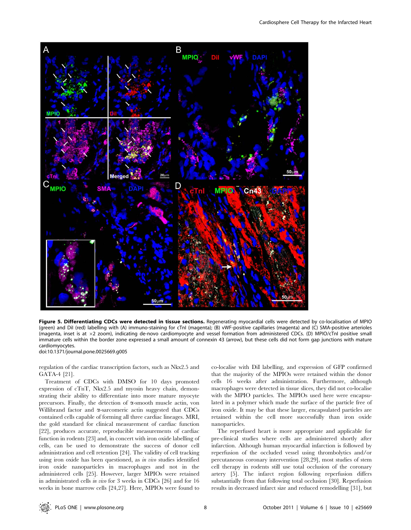

Figure 5. Differentiating CDCs were detected in tissue sections. Regenerating myocardial cells were detected by co-localisation of MPIO (green) and DiI (red) labelling with (A) immuno-staining for cTnI (magenta); (B) vWF-positive capillaries (magenta) and (C) SMA-positive arterioles (magenta, inset is at  $\times 2$  zoom), indicating de-novo cardiomyocyte and vessel formation from administered CDCs. (D) MPIO/cTnI positive small immature cells within the border zone expressed a small amount of connexin 43 (arrow), but these cells did not form gap junctions with mature cardiomyocytes.

doi:10.1371/journal.pone.0025669.g005

regulation of the cardiac transcription factors, such as Nkx2.5 and GATA-4 [21].

Treatment of CDCs with DMSO for 10 days promoted expression of cTnT, Nkx2.5 and myosin heavy chain, demonstrating their ability to differentiate into more mature myocyte precursors. Finally, the detection of  $\alpha$ -smooth muscle actin, von Willibrand factor and  $\alpha$ -sarcomeric actin suggested that CDCs contained cells capable of forming all three cardiac lineages. MRI, the gold standard for clinical measurement of cardiac function [22], produces accurate, reproducible measurements of cardiac function in rodents [23] and, in concert with iron oxide labelling of cells, can be used to demonstrate the success of donor cell administration and cell retention [24]. The validity of cell tracking using iron oxide has been questioned, as in vivo studies identified iron oxide nanoparticles in macrophages and not in the administered cells [25]. However, larger MPIOs were retained in administrated cells in vivo for 3 weeks in CDCs [26] and for 16 weeks in bone marrow cells [24,27]. Here, MPIOs were found to co-localise with DiI labelling, and expression of GFP confirmed that the majority of the MPIOs were retained within the donor cells 16 weeks after administration. Furthermore, although macrophages were detected in tissue slices, they did not co-localise with the MPIO particles. The MPIOs used here were encapsulated in a polymer which made the surface of the particle free of iron oxide. It may be that these larger, encapsulated particles are retained within the cell more successfully than iron oxide nanoparticles.

The reperfused heart is more appropriate and applicable for pre-clinical studies where cells are administered shortly after infarction. Although human myocardial infarction is followed by reperfusion of the occluded vessel using thrombolytics and/or percutaneous coronary intervention [28,29], most studies of stem cell therapy in rodents still use total occlusion of the coronary artery [5]. The infarct region following reperfusion differs substantially from that following total occlusion [30]. Reperfusion results in decreased infarct size and reduced remodelling [31], but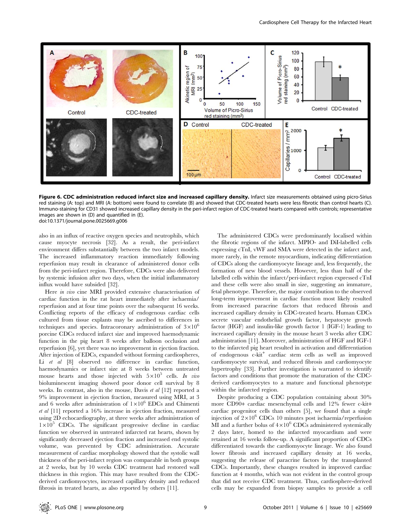

Figure 6. CDC administration reduced infarct size and increased capillary density. Infarct size measurements obtained using picro-Sirius red staining (A: top) and MRI (A: bottom) were found to correlate (B) and showed that CDC-treated hearts were less fibrotic than control hearts (C). Immuno-staining for CD31 showed increased capillary density in the peri-infarct region of CDC-treated hearts compared with controls; representative images are shown in (D) and quantified in (E). doi:10.1371/journal.pone.0025669.g006

also in an influx of reactive oxygen species and neutrophils, which cause myocyte necrosis [32]. As a result, the peri-infarct environment differs substantially between the two infarct models. The increased inflammatory reaction immediately following reperfusion may result in clearance of administered donor cells from the peri-infarct region. Therefore, CDCs were also delivered by systemic infusion after two days, when the initial inflammatory influx would have subsided [32].

Here in vivo cine MRI provided extensive characterisation of cardiac function in the rat heart immediately after ischaemia/ reperfusion and at four time points over the subsequent 16 weeks. Conflicting reports of the efficacy of endogenous cardiac cells cultured from tissue explants may be ascribed to differences in techniques and species. Intracoronary administration of  $3\times10^{6}$ porcine CDCs reduced infarct size and improved haemodynamic function in the pig heart 8 weeks after balloon occlusion and reperfusion [6], yet there was no improvement in ejection fraction. After injection of EDCs, expanded without forming cardiospheres, Li et al [8] observed no difference in cardiac function, haemodynamics or infarct size at 8 weeks between untreated mouse hearts and those injected with  $5\times10^5$  cells. In vivo bioluminescent imaging showed poor donor cell survival by 8 weeks. In contrast, also in the mouse, Davis et al [12] reported a 9% improvement in ejection fraction, measured using MRI, at 3 and 6 weeks after administration of  $1\times10^6$  EDCs and Chimenti et al [11] reported a 16% increase in ejection fraction, measured using 2D echocardiography, at three weeks after administration of  $1\times10^{5}$  CDCs. The significant progressive decline in cardiac function we observed in untreated infarcted rat hearts, shown by significantly decreased ejection fraction and increased end systolic volume, was prevented by CDC administration. Accurate measurement of cardiac morphology showed that the systolic wall thickness of the peri-infarct region was comparable in both groups at 2 weeks, but by 10 weeks CDC treatment had restored wall thickness in this region. This may have resulted from the CDCderived cardiomyocytes, increased capillary density and reduced fibrosis in treated hearts, as also reported by others [11].

The administered CDCs were predominantly localised within the fibrotic regions of the infarct. MPIO- and DiI-labelled cells expressing cTnI, vWF and SMA were detected in the infarct and, more rarely, in the remote myocardium, indicating differentiation of CDCs along the cardiomyocyte lineage and, less frequently, the formation of new blood vessels. However, less than half of the labelled cells within the infarct/peri-infarct region expressed cTnI and these cells were also small in size, suggesting an immature, fetal phenotype. Therefore, the major contribution to the observed long-term improvement in cardiac function most likely resulted from increased paracrine factors that reduced fibrosis and increased capillary density in CDC-treated hearts. Human CDCs secrete vascular endothelial growth factor, hepatocyte growth factor (HGF) and insulin-like growth factor 1 (IGF-1) leading to increased capillary density in the mouse heart 3 weeks after CDC administration [11]. Moreover, administration of HGF and IGF-1 to the infarcted pig heart resulted in activation and differentiation of endogenous c-kit<sup>+</sup> cardiac stem cells as well as improved cardiomyocyte survival, and reduced fibrosis and cardiomyocyte hypertrophy [33]. Further investigation is warranted to identify factors and conditions that promote the maturation of the CDCderived cardiomyocytes to a mature and functional phenotype within the infarcted region.

Despite producing a CDC population containing about 30% more CD90+ cardiac mesenchymal cells and 12% fewer c-kit+ cardiac progenitor cells than others [5], we found that a single injection of  $2\times10^6$  CDCs 10 minutes post ischaemia/reperfusion MI and a further bolus of  $4\times10^{6}$  CDCs administered systemically 2 days later, homed to the infarcted myocardium and were retained at 16 weeks follow-up. A significant proportion of CDCs differentiated towards the cardiomyocyte lineage. We also found lower fibrosis and increased capillary density at 16 weeks, suggesting the release of paracrine factors by the transplanted CDCs. Importantly, these changes resulted in improved cardiac function at 4 months, which was not evident in the control group that did not receive CDC treatment. Thus, cardiosphere-derived cells may be expanded from biopsy samples to provide a cell